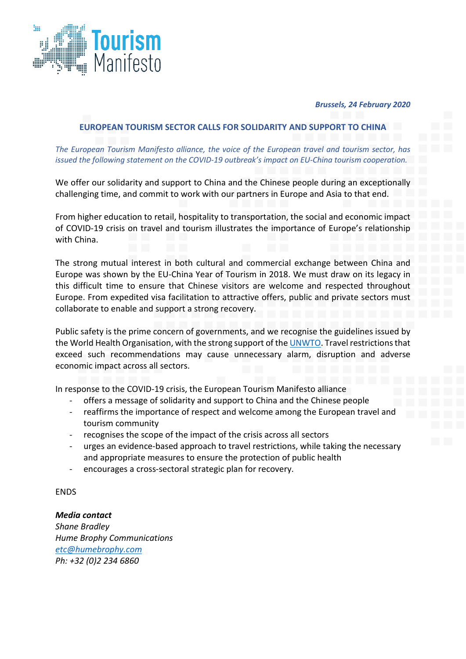

## *Brussels, 24 February 2020*

## **EUROPEAN TOURISM SECTOR CALLS FOR SOLIDARITY AND SUPPORT TO CHINA**

*The European Tourism Manifesto alliance, the voice of the European travel and tourism sector, has issued the following statement on the COVID-19 outbreak's impact on EU-China tourism cooperation.*

We offer our solidarity and support to China and the Chinese people during an exceptionally challenging time, and commit to work with our partners in Europe and Asia to that end.

From higher education to retail, hospitality to transportation, the social and economic impact of COVID-19 crisis on travel and tourism illustrates the importance of Europe's relationship with China.

The strong mutual interest in both cultural and commercial exchange between China and Europe was shown by the EU-China Year of Tourism in 2018. We must draw on its legacy in this difficult time to ensure that Chinese visitors are welcome and respected throughout Europe. From expedited visa facilitation to attractive offers, public and private sectors must collaborate to enable and support a strong recovery.

Public safety is the prime concern of governments, and we recognise the guidelines issued by the World Health Organisation, with the strong support of th[e UNWTO.](https://www.unwto.org/unwto-statement-on-the-novel-coronavirus-outbreak) Travel restrictions that exceed such recommendations may cause unnecessary alarm, disruption and adverse economic impact across all sectors.

In response to the COVID-19 crisis, the European Tourism Manifesto alliance

- offers a message of solidarity and support to China and the Chinese people
- reaffirms the importance of respect and welcome among the European travel and tourism community
- recognises the scope of the impact of the crisis across all sectors
- urges an evidence-based approach to travel restrictions, while taking the necessary and appropriate measures to ensure the protection of public health
- encourages a cross-sectoral strategic plan for recovery.

ENDS

*Media contact Shane Bradley Hume Brophy Communications [etc@humebrophy.com](mailto:etc@humebrophy.com) Ph: +32 (0)2 234 6860*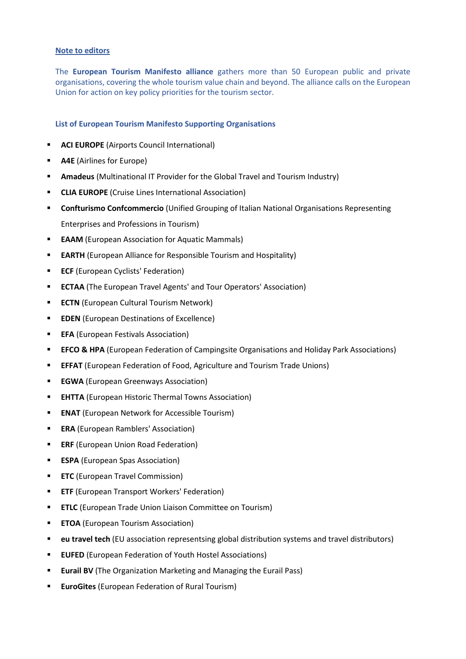## **Note to editors**

The **European Tourism Manifesto alliance** gathers more than 50 European public and private organisations, covering the whole tourism value chain and beyond. The alliance calls on the European Union for action on key policy priorities for the tourism sector.

## **List of European Tourism Manifesto Supporting Organisations**

- **ACI EUROPE** (Airports Council International)
- **A4E** (Airlines for Europe)
- **Amadeus** (Multinational IT Provider for the Global Travel and Tourism Industry)
- **CLIA EUROPE** (Cruise Lines International Association)
- **Confturismo Confcommercio** (Unified Grouping of Italian National Organisations Representing Enterprises and Professions in Tourism)
- **EAAM** (European Association for Aquatic Mammals)
- **EARTH** (European Alliance for Responsible Tourism and Hospitality)
- **ECF** (European Cyclists' Federation)
- **ECTAA** (The European Travel Agents' and Tour Operators' Association)
- **ECTN** (European Cultural Tourism Network)
- **EDEN** (European Destinations of Excellence)
- **EFA** (European Festivals Association)
- **EFCO & HPA** (European Federation of Campingsite Organisations and Holiday Park Associations)
- **EFFAT** (European Federation of Food, Agriculture and Tourism Trade Unions)
- **EGWA** (European Greenways Association)
- **EHTTA** (European Historic Thermal Towns Association)
- **ENAT** (European Network for Accessible Tourism)
- **ERA** (European Ramblers' Association)
- **ERF** (European Union Road Federation)
- **ESPA** (European Spas Association)
- **ETC** (European Travel Commission)
- **ETF** (European Transport Workers' Federation)
- **ETLC** (European Trade Union Liaison Committee on Tourism)
- **ETOA** (European Tourism Association)
- **eu travel tech** (EU association representsing global distribution systems and travel distributors)
- **EUFED** (European Federation of Youth Hostel Associations)
- **Eurail BV** (The Organization Marketing and Managing the Eurail Pass)
- **EuroGites** (European Federation of Rural Tourism)